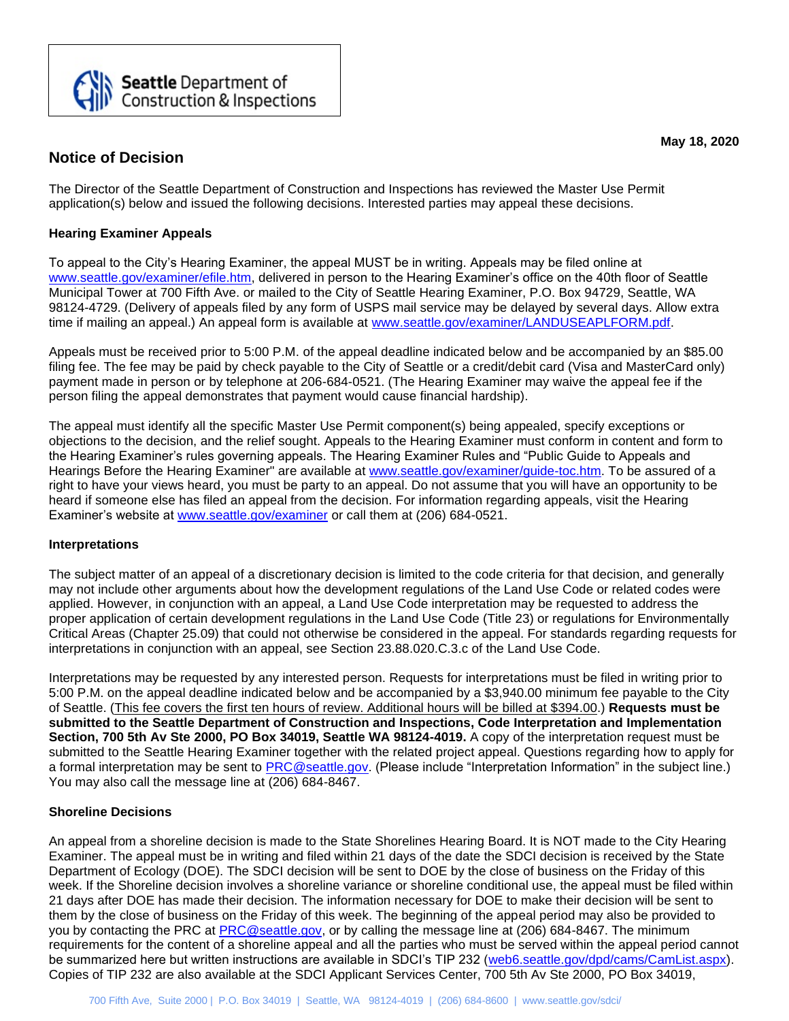

# **Notice of Decision**

**May 18, 2020**

The Director of the Seattle Department of Construction and Inspections has reviewed the Master Use Permit application(s) below and issued the following decisions. Interested parties may appeal these decisions.

# **Hearing Examiner Appeals**

To appeal to the City's Hearing Examiner, the appeal MUST be in writing. Appeals may be filed online at [www.seattle.gov/examiner/efile.htm,](http://www.seattle.gov/examiner/efile.htm) delivered in person to the Hearing Examiner's office on the 40th floor of Seattle Municipal Tower at 700 Fifth Ave. or mailed to the City of Seattle Hearing Examiner, P.O. Box 94729, Seattle, WA 98124-4729. (Delivery of appeals filed by any form of USPS mail service may be delayed by several days. Allow extra time if mailing an appeal.) An appeal form is available at [www.seattle.gov/examiner/LANDUSEAPLFORM.pdf.](http://www.seattle.gov/examiner/LANDUSEAPLFORM.pdf)

Appeals must be received prior to 5:00 P.M. of the appeal deadline indicated below and be accompanied by an \$85.00 filing fee. The fee may be paid by check payable to the City of Seattle or a credit/debit card (Visa and MasterCard only) payment made in person or by telephone at 206-684-0521. (The Hearing Examiner may waive the appeal fee if the person filing the appeal demonstrates that payment would cause financial hardship).

The appeal must identify all the specific Master Use Permit component(s) being appealed, specify exceptions or objections to the decision, and the relief sought. Appeals to the Hearing Examiner must conform in content and form to the Hearing Examiner's rules governing appeals. The Hearing Examiner Rules and "Public Guide to Appeals and Hearings Before the Hearing Examiner" are available at [www.seattle.gov/examiner/guide-toc.htm.](http://www.seattle.gov/examiner/guide-toc.htm) To be assured of a right to have your views heard, you must be party to an appeal. Do not assume that you will have an opportunity to be heard if someone else has filed an appeal from the decision. For information regarding appeals, visit the Hearing Examiner's website at [www.seattle.gov/examiner](http://www.seattle.gov/examiner) or call them at (206) 684-0521.

## **Interpretations**

The subject matter of an appeal of a discretionary decision is limited to the code criteria for that decision, and generally may not include other arguments about how the development regulations of the Land Use Code or related codes were applied. However, in conjunction with an appeal, a Land Use Code interpretation may be requested to address the proper application of certain development regulations in the Land Use Code (Title 23) or regulations for Environmentally Critical Areas (Chapter 25.09) that could not otherwise be considered in the appeal. For standards regarding requests for interpretations in conjunction with an appeal, see Section 23.88.020.C.3.c of the Land Use Code.

Interpretations may be requested by any interested person. Requests for interpretations must be filed in writing prior to 5:00 P.M. on the appeal deadline indicated below and be accompanied by a \$3,940.00 minimum fee payable to the City of Seattle. (This fee covers the first ten hours of review. Additional hours will be billed at \$394.00.) **Requests must be submitted to the Seattle Department of Construction and Inspections, Code Interpretation and Implementation Section, 700 5th Av Ste 2000, PO Box 34019, Seattle WA 98124-4019.** A copy of the interpretation request must be submitted to the Seattle Hearing Examiner together with the related project appeal. Questions regarding how to apply for a formal interpretation may be sent to [PRC@seattle.gov.](mailto:PRC@seattle.gov) (Please include "Interpretation Information" in the subject line.) You may also call the message line at (206) 684-8467.

## **Shoreline Decisions**

An appeal from a shoreline decision is made to the State Shorelines Hearing Board. It is NOT made to the City Hearing Examiner. The appeal must be in writing and filed within 21 days of the date the SDCI decision is received by the State Department of Ecology (DOE). The SDCI decision will be sent to DOE by the close of business on the Friday of this week. If the Shoreline decision involves a shoreline variance or shoreline conditional use, the appeal must be filed within 21 days after DOE has made their decision. The information necessary for DOE to make their decision will be sent to them by the close of business on the Friday of this week. The beginning of the appeal period may also be provided to you by contacting the PRC at [PRC@seattle.gov,](mailto:PRC@seattle.gov) or by calling the message line at (206) 684-8467. The minimum requirements for the content of a shoreline appeal and all the parties who must be served within the appeal period cannot be summarized here but written instructions are available in SDCI's TIP 232 [\(web6.seattle.gov/dpd/cams/CamList.aspx\)](http://web6.seattle.gov/dpd/cams/CamList.aspx). Copies of TIP 232 are also available at the SDCI Applicant Services Center, 700 5th Av Ste 2000, PO Box 34019,